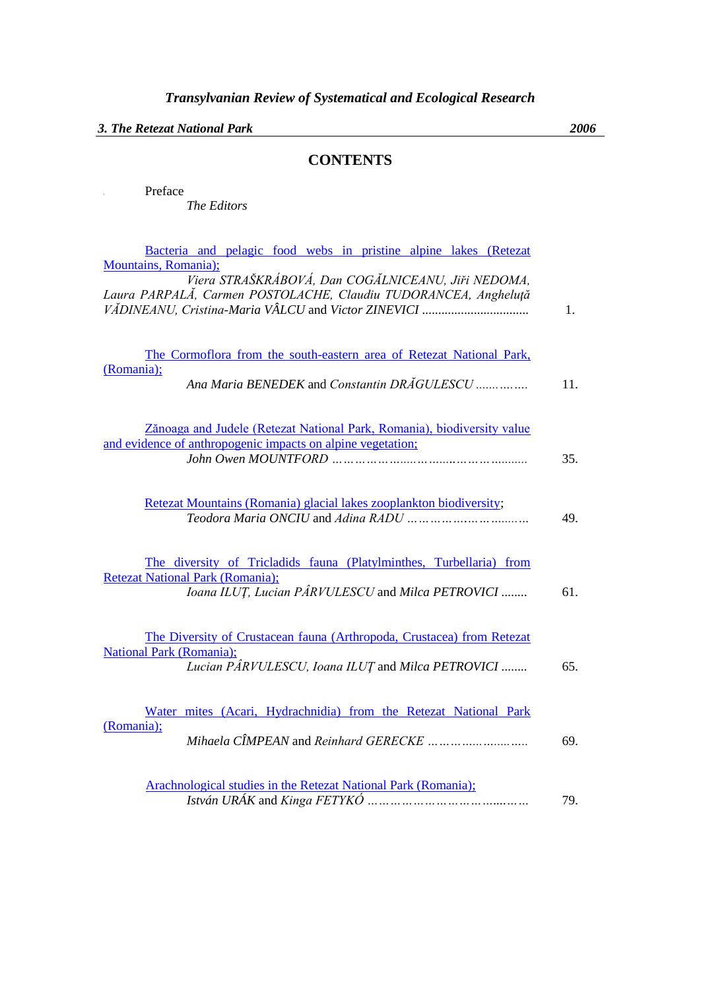*3. The Retezat National Park 2006*

*The Editors*

**I** Preface

## **CONTENTS**

| Bacteria and pelagic food webs in pristine alpine lakes (Retezat                             |     |
|----------------------------------------------------------------------------------------------|-----|
| Mountains, Romania);                                                                         |     |
| Viera STRAŠKRÁBOVÁ, Dan COGĂLNICEANU, Jiři NEDOMA,                                           |     |
| Laura PARPALĂ, Carmen POSTOLACHE, Claudiu TUDORANCEA, Angheluță                              |     |
|                                                                                              | 1.  |
|                                                                                              |     |
| The Cormoflora from the south-eastern area of Retezat National Park,                         |     |
| (Romania);<br>Ana Maria BENEDEK and Constantin DRĂGULESCU                                    | 11. |
| Zănoaga and Judele (Retezat National Park, Romania), biodiversity value                      |     |
| and evidence of anthropogenic impacts on alpine vegetation;                                  |     |
|                                                                                              | 35. |
| Retezat Mountains (Romania) glacial lakes zooplankton biodiversity;                          |     |
|                                                                                              | 49. |
|                                                                                              |     |
| The diversity of Tricladids fauna (Platylminthes, Turbellaria) from                          |     |
| <b>Retezat National Park (Romania);</b><br>Ioana ILUT, Lucian PÂRVULESCU and Milca PETROVICI | 61. |
|                                                                                              |     |
| The Diversity of Crustacean fauna (Arthropoda, Crustacea) from Retezat                       |     |
| <b>National Park (Romania);</b>                                                              |     |
| Lucian PÂRVULESCU, Ioana ILUȚ and Milca PETROVICI                                            | 65. |
|                                                                                              |     |
| Water mites (Acari, Hydrachnidia) from the Retezat National Park<br>(Romania);               |     |
|                                                                                              | 69. |
|                                                                                              |     |
| Arachnological studies in the Retezat National Park (Romania);                               |     |
|                                                                                              | 79. |